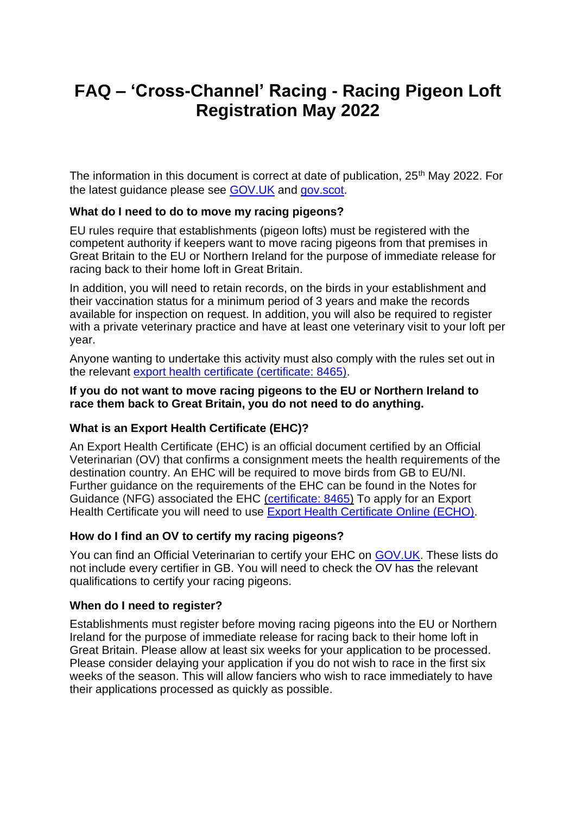# **FAQ – 'Cross-Channel' Racing - Racing Pigeon Loft Registration May 2022**

The information in this document is correct at date of publication, 25<sup>th</sup> May 2022. For the latest guidance please see [GOV.UK](https://www.gov.uk/guidance/register-a-racing-pigeon-establishment-to-move-pigeons-to-the-eu-or-northern-ireland-for-a-race) and [gov.scot.](https://www.gov.scot/publications/racing-pigeon-register-scotland/)

#### **What do I need to do to move my racing pigeons?**

EU rules require that establishments (pigeon lofts) must be registered with the competent authority if keepers want to move racing pigeons from that premises in Great Britain to the EU or Northern Ireland for the purpose of immediate release for racing back to their home loft in Great Britain.

In addition, you will need to retain records, on the birds in your establishment and their vaccination status for a minimum period of 3 years and make the records available for inspection on request. In addition, you will also be required to register with a private veterinary practice and have at least one veterinary visit to your loft per year.

Anyone wanting to undertake this activity must also comply with the rules set out in the relevant [export health certificate \(certificate: 8465\).](https://www.gov.uk/export-health-certificates/racing-pigeons-immediately-released-after-entry-to-the-european-union-and-northern-ireland-certificate-8465)

#### **If you do not want to move racing pigeons to the EU or Northern Ireland to race them back to Great Britain, you do not need to do anything.**

## **What is an Export Health Certificate (EHC)?**

An Export Health Certificate (EHC) is an official document certified by an Official Veterinarian (OV) that confirms a consignment meets the health requirements of the destination country. An EHC will be required to move birds from GB to EU/NI. Further guidance on the requirements of the EHC can be found in the Notes for Guidance (NFG) associated the EHC [\(certificate: 8465\)](https://www.gov.uk/export-health-certificates/racing-pigeons-immediately-released-after-entry-to-the-european-union-and-northern-ireland-certificate-8465) To apply for an Export Health Certificate you will need to use [Export Health Certificate](https://www.gov.uk/export-health-certificates) Online (ECHO).

#### **How do I find an OV to certify my racing pigeons?**

You can find an Official Veterinarian to certify your EHC on [GOV.UK.](https://www.gov.uk/government/publications/find-a-professional-to-certify-export-health-certificates) These lists do not include every certifier in GB. You will need to check the OV has the relevant qualifications to certify your racing pigeons.

#### **When do I need to register?**

Establishments must register before moving racing pigeons into the EU or Northern Ireland for the purpose of immediate release for racing back to their home loft in Great Britain. Please allow at least six weeks for your application to be processed. Please consider delaying your application if you do not wish to race in the first six weeks of the season. This will allow fanciers who wish to race immediately to have their applications processed as quickly as possible.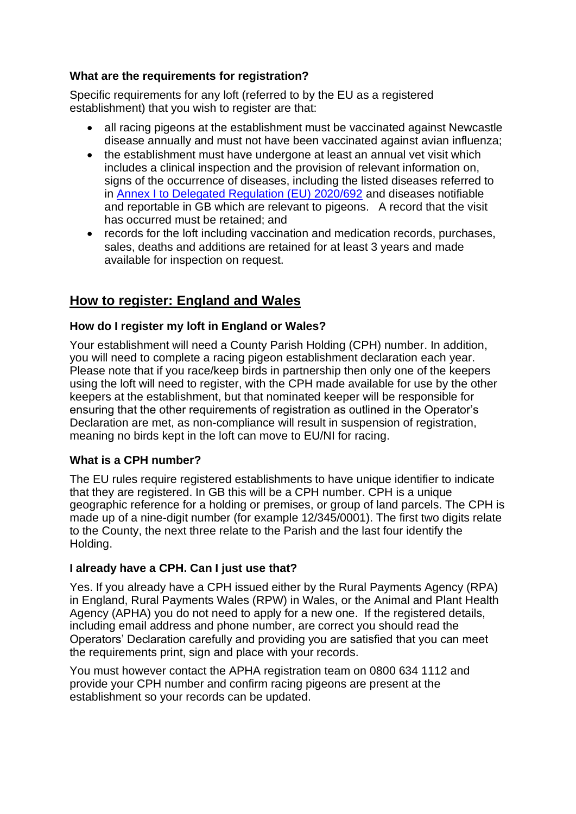## **What are the requirements for registration?**

Specific requirements for any loft (referred to by the EU as a registered establishment) that you wish to register are that:

- all racing pigeons at the establishment must be vaccinated against Newcastle disease annually and must not have been vaccinated against avian influenza;
- the establishment must have undergone at least an annual vet visit which includes a clinical inspection and the provision of relevant information on, signs of the occurrence of diseases, including the listed diseases referred to in [Annex I to Delegated Regulation \(EU\) 2020/692](https://eur-lex.europa.eu/legal-content/EN/TXT/?uri=CELEX%3A02020R0692-20220120#tocId258) and diseases notifiable and reportable in GB which are relevant to pigeons. A record that the visit has occurred must be retained; and
- records for the loft including vaccination and medication records, purchases, sales, deaths and additions are retained for at least 3 years and made available for inspection on request.

## **How to register: England and Wales**

## **How do I register my loft in England or Wales?**

Your establishment will need a County Parish Holding (CPH) number. In addition, you will need to complete a racing pigeon establishment declaration each year. Please note that if you race/keep birds in partnership then only one of the keepers using the loft will need to register, with the CPH made available for use by the other keepers at the establishment, but that nominated keeper will be responsible for ensuring that the other requirements of registration as outlined in the Operator's Declaration are met, as non-compliance will result in suspension of registration, meaning no birds kept in the loft can move to EU/NI for racing.

## **What is a CPH number?**

The EU rules require registered establishments to have unique identifier to indicate that they are registered. In GB this will be a CPH number. CPH is a unique geographic reference for a holding or premises, or group of land parcels. The CPH is made up of a nine-digit number (for example 12/345/0001). The first two digits relate to the County, the next three relate to the Parish and the last four identify the Holding.

#### **I already have a CPH. Can I just use that?**

Yes. If you already have a CPH issued either by the Rural Payments Agency (RPA) in England, Rural Payments Wales (RPW) in Wales, or the Animal and Plant Health Agency (APHA) you do not need to apply for a new one. If the registered details, including email address and phone number, are correct you should read the Operators' Declaration carefully and providing you are satisfied that you can meet the requirements print, sign and place with your records.

You must however contact the APHA registration team on 0800 634 1112 and provide your CPH number and confirm racing pigeons are present at the establishment so your records can be updated.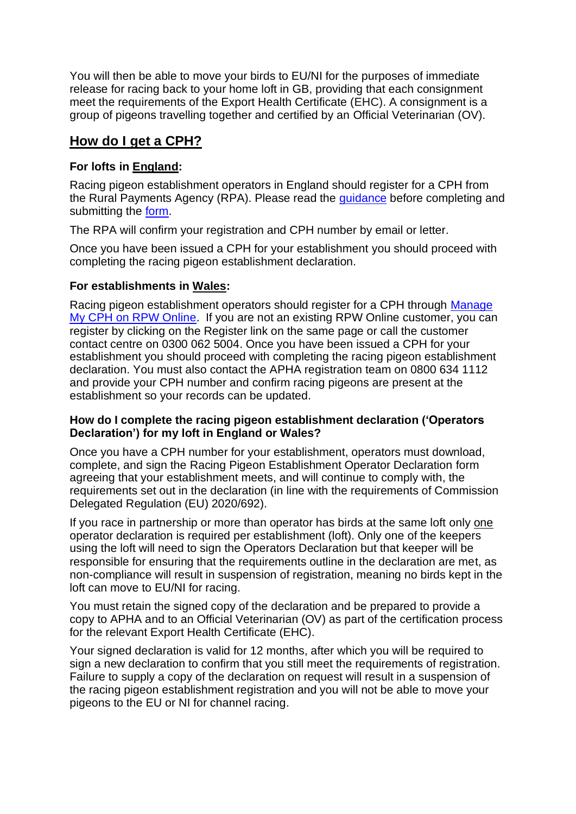You will then be able to move your birds to EU/NI for the purposes of immediate release for racing back to your home loft in GB, providing that each consignment meet the requirements of the Export Health Certificate (EHC). A consignment is a group of pigeons travelling together and certified by an Official Veterinarian (OV).

## **How do I get a CPH?**

## **For lofts in England:**

Racing pigeon establishment operators in England should register for a CPH from the Rural Payments Agency (RPA). Please read the [guidance](https://www.gov.uk/government/publications/racing-pigeon-establishments-apply-for-a-county-parish-holding-number/guidance-racing-pigeon-establishment-application-for-a-county-parish-holding-number) before completing and submitting the [form.](https://assets.publishing.service.gov.uk/government/uploads/system/uploads/attachment_data/file/1078225/Racing_Pigeon_Establishment_Registration_Form.pdf)

The RPA will confirm your registration and CPH number by email or letter.

Once you have been issued a CPH for your establishment you should proceed with completing the racing pigeon establishment declaration.

## **For establishments in Wales:**

Racing pigeon establishment operators should register for a CPH through Manage [My CPH on RPW Online.](http://www.gov.wales/rural-payments-wales-rpw-online) If you are not an existing RPW Online customer, you can register by clicking on the Register link on the same page or call the customer contact centre on 0300 062 5004. Once you have been issued a CPH for your establishment you should proceed with completing the racing pigeon establishment declaration. You must also contact the APHA registration team on 0800 634 1112 and provide your CPH number and confirm racing pigeons are present at the establishment so your records can be updated.

#### **How do I complete the racing pigeon establishment declaration ('Operators Declaration') for my loft in England or Wales?**

Once you have a CPH number for your establishment, operators must download, complete, and sign the Racing Pigeon Establishment Operator Declaration form agreeing that your establishment meets, and will continue to comply with, the requirements set out in the declaration (in line with the requirements of Commission Delegated Regulation (EU) 2020/692).

If you race in partnership or more than operator has birds at the same loft only one operator declaration is required per establishment (loft). Only one of the keepers using the loft will need to sign the Operators Declaration but that keeper will be responsible for ensuring that the requirements outline in the declaration are met, as non-compliance will result in suspension of registration, meaning no birds kept in the loft can move to EU/NI for racing.

You must retain the signed copy of the declaration and be prepared to provide a copy to APHA and to an Official Veterinarian (OV) as part of the certification process for the relevant Export Health Certificate (EHC).

Your signed declaration is valid for 12 months, after which you will be required to sign a new declaration to confirm that you still meet the requirements of registration. Failure to supply a copy of the declaration on request will result in a suspension of the racing pigeon establishment registration and you will not be able to move your pigeons to the EU or NI for channel racing.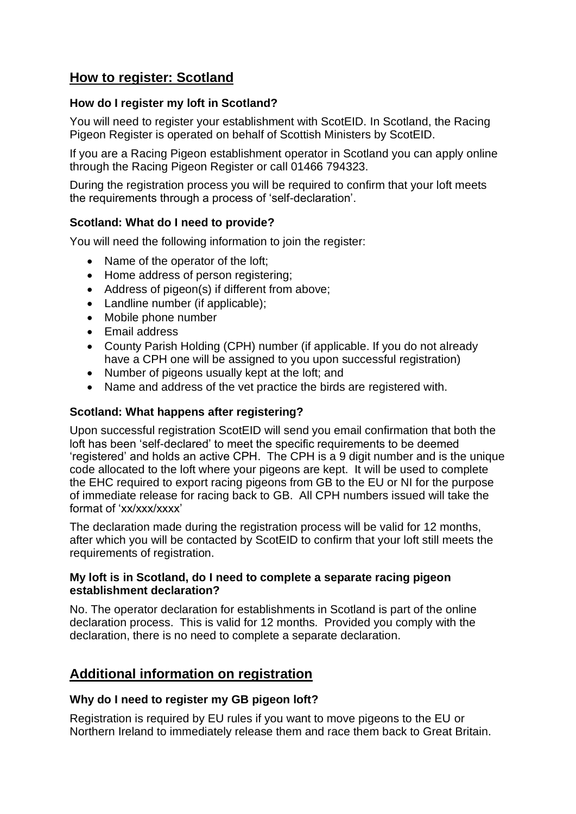## **How to register: Scotland**

### **How do I register my loft in Scotland?**

You will need to register your establishment with ScotEID. In Scotland, the Racing Pigeon Register is operated on behalf of Scottish Ministers by ScotEID.

If you are a Racing Pigeon establishment operator in Scotland you can apply online through the Racing Pigeon Register or call 01466 794323.

During the registration process you will be required to confirm that your loft meets the requirements through a process of 'self-declaration'.

### **Scotland: What do I need to provide?**

You will need the following information to join the register:

- Name of the operator of the loft;
- Home address of person registering;
- Address of pigeon(s) if different from above;
- Landline number (if applicable):
- Mobile phone number
- Email address
- County Parish Holding (CPH) number (if applicable. If you do not already have a CPH one will be assigned to you upon successful registration)
- Number of pigeons usually kept at the loft; and
- Name and address of the vet practice the birds are registered with.

#### **Scotland: What happens after registering?**

Upon successful registration ScotEID will send you email confirmation that both the loft has been 'self-declared' to meet the specific requirements to be deemed 'registered' and holds an active CPH. The CPH is a 9 digit number and is the unique code allocated to the loft where your pigeons are kept. It will be used to complete the EHC required to export racing pigeons from GB to the EU or NI for the purpose of immediate release for racing back to GB. All CPH numbers issued will take the format of 'xx/xxx/xxxx'

The declaration made during the registration process will be valid for 12 months, after which you will be contacted by ScotEID to confirm that your loft still meets the requirements of registration.

#### **My loft is in Scotland, do I need to complete a separate racing pigeon establishment declaration?**

No. The operator declaration for establishments in Scotland is part of the online declaration process. This is valid for 12 months. Provided you comply with the declaration, there is no need to complete a separate declaration.

## **Additional information on registration**

#### **Why do I need to register my GB pigeon loft?**

Registration is required by EU rules if you want to move pigeons to the EU or Northern Ireland to immediately release them and race them back to Great Britain.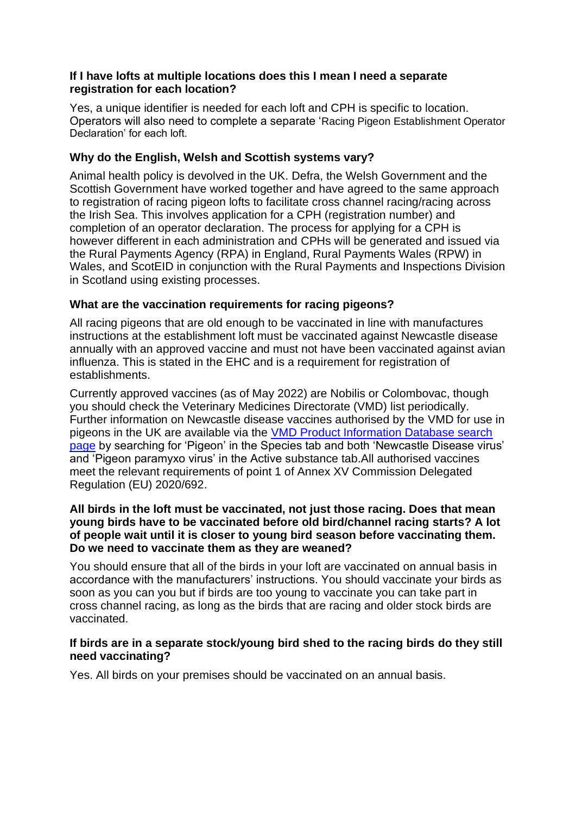#### **If I have lofts at multiple locations does this I mean I need a separate registration for each location?**

Yes, a unique identifier is needed for each loft and CPH is specific to location. Operators will also need to complete a separate 'Racing Pigeon Establishment Operator Declaration' for each loft.

### **Why do the English, Welsh and Scottish systems vary?**

Animal health policy is devolved in the UK. Defra, the Welsh Government and the Scottish Government have worked together and have agreed to the same approach to registration of racing pigeon lofts to facilitate cross channel racing/racing across the Irish Sea. This involves application for a CPH (registration number) and completion of an operator declaration. The process for applying for a CPH is however different in each administration and CPHs will be generated and issued via the Rural Payments Agency (RPA) in England, Rural Payments Wales (RPW) in Wales, and ScotEID in conjunction with the Rural Payments and Inspections Division in Scotland using existing processes.

### **What are the vaccination requirements for racing pigeons?**

All racing pigeons that are old enough to be vaccinated in line with manufactures instructions at the establishment loft must be vaccinated against Newcastle disease annually with an approved vaccine and must not have been vaccinated against avian influenza. This is stated in the EHC and is a requirement for registration of establishments.

Currently approved vaccines (as of May 2022) are Nobilis or Colombovac, though you should check the Veterinary Medicines Directorate (VMD) list periodically. Further information on Newcastle disease vaccines authorised by the VMD for use in pigeons in the UK are available via the [VMD Product Information Database search](https://www.vmd.defra.gov.uk/productinformationdatabase/Search.aspx)  [page](https://www.vmd.defra.gov.uk/productinformationdatabase/Search.aspx) by searching for 'Pigeon' in the Species tab and both 'Newcastle Disease virus' and 'Pigeon paramyxo virus' in the Active substance tab.All authorised vaccines meet the relevant requirements of point 1 of Annex XV Commission Delegated Regulation (EU) 2020/692.

#### **All birds in the loft must be vaccinated, not just those racing. Does that mean young birds have to be vaccinated before old bird/channel racing starts? A lot of people wait until it is closer to young bird season before vaccinating them. Do we need to vaccinate them as they are weaned?**

You should ensure that all of the birds in your loft are vaccinated on annual basis in accordance with the manufacturers' instructions. You should vaccinate your birds as soon as you can you but if birds are too young to vaccinate you can take part in cross channel racing, as long as the birds that are racing and older stock birds are vaccinated.

#### **If birds are in a separate stock/young bird shed to the racing birds do they still need vaccinating?**

Yes. All birds on your premises should be vaccinated on an annual basis.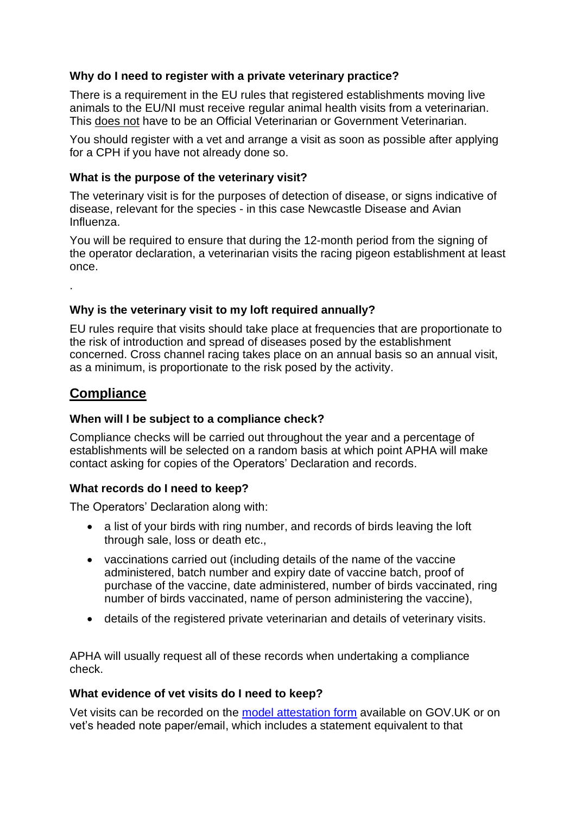### **Why do I need to register with a private veterinary practice?**

There is a requirement in the EU rules that registered establishments moving live animals to the EU/NI must receive regular animal health visits from a veterinarian. This does not have to be an Official Veterinarian or Government Veterinarian.

You should register with a vet and arrange a visit as soon as possible after applying for a CPH if you have not already done so.

#### **What is the purpose of the veterinary visit?**

The veterinary visit is for the purposes of detection of disease, or signs indicative of disease, relevant for the species - in this case Newcastle Disease and Avian Influenza.

You will be required to ensure that during the 12-month period from the signing of the operator declaration, a veterinarian visits the racing pigeon establishment at least once.

.

### **Why is the veterinary visit to my loft required annually?**

EU rules require that visits should take place at frequencies that are proportionate to the risk of introduction and spread of diseases posed by the establishment concerned. Cross channel racing takes place on an annual basis so an annual visit, as a minimum, is proportionate to the risk posed by the activity.

## **Compliance**

#### **When will I be subject to a compliance check?**

Compliance checks will be carried out throughout the year and a percentage of establishments will be selected on a random basis at which point APHA will make contact asking for copies of the Operators' Declaration and records.

#### **What records do I need to keep?**

The Operators' Declaration along with:

- a list of your birds with ring number, and records of birds leaving the loft through sale, loss or death etc.,
- vaccinations carried out (including details of the name of the vaccine administered, batch number and expiry date of vaccine batch, proof of purchase of the vaccine, date administered, number of birds vaccinated, ring number of birds vaccinated, name of person administering the vaccine),
- details of the registered private veterinarian and details of veterinary visits.

APHA will usually request all of these records when undertaking a compliance check.

#### **What evidence of vet visits do I need to keep?**

Vet visits can be recorded on the [model attestation form](https://assets.publishing.service.gov.uk/government/uploads/system/uploads/attachment_data/file/1077761/Registered-pigeon-loft-veterinary-visit-attestation.docx) available on GOV.UK or on vet's headed note paper/email, which includes a statement equivalent to that